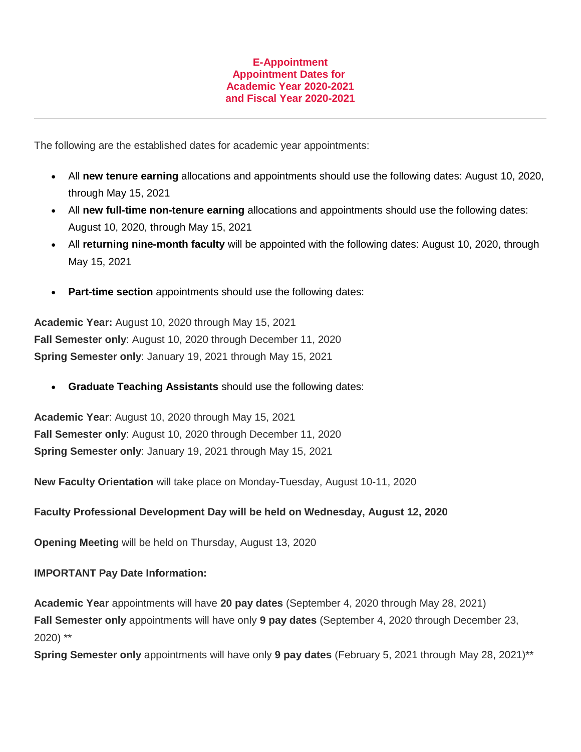## **E-Appointment Appointment Dates for Academic Year 2020-2021 and Fiscal Year 2020-2021**

The following are the established dates for academic year appointments:

- All **new tenure earning** allocations and appointments should use the following dates: August 10, 2020, through May 15, 2021
- All **new full-time non-tenure earning** allocations and appointments should use the following dates: August 10, 2020, through May 15, 2021
- All **returning nine-month faculty** will be appointed with the following dates: August 10, 2020, through May 15, 2021
- **Part-time section** appointments should use the following dates:

**Academic Year:** August 10, 2020 through May 15, 2021 **Fall Semester only**: August 10, 2020 through December 11, 2020 **Spring Semester only**: January 19, 2021 through May 15, 2021

**Graduate Teaching Assistants** should use the following dates:

**Academic Year**: August 10, 2020 through May 15, 2021 **Fall Semester only**: August 10, 2020 through December 11, 2020 **Spring Semester only**: January 19, 2021 through May 15, 2021

**New Faculty Orientation** will take place on Monday-Tuesday, August 10-11, 2020

## **Faculty Professional Development Day will be held on Wednesday, August 12, 2020**

**Opening Meeting** will be held on Thursday, August 13, 2020

## **IMPORTANT Pay Date Information:**

**Academic Year** appointments will have **20 pay dates** (September 4, 2020 through May 28, 2021) **Fall Semester only** appointments will have only **9 pay dates** (September 4, 2020 through December 23, 2020) \*\*

**Spring Semester only** appointments will have only **9 pay dates** (February 5, 2021 through May 28, 2021)\*\*